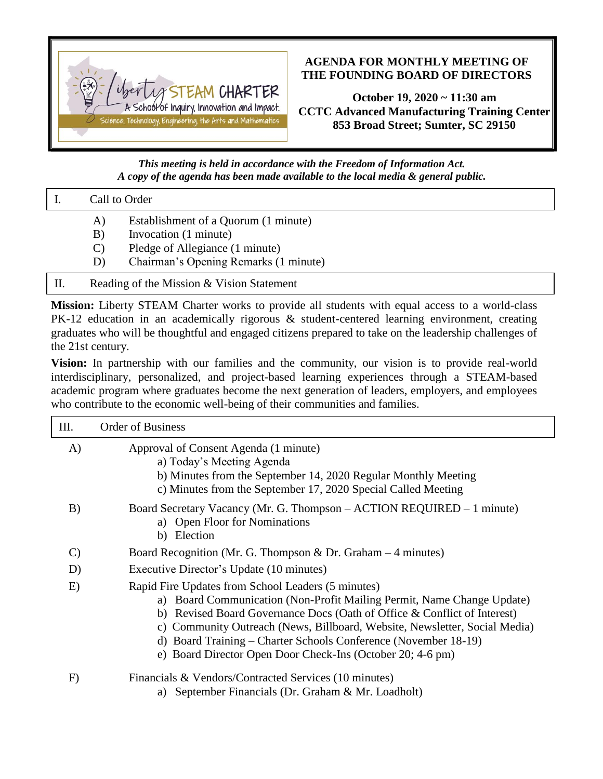

## **AGENDA FOR MONTHLY MEETING OF THE FOUNDING BOARD OF DIRECTORS**

**October 19, 2020 ~ 11:30 am CCTC Advanced Manufacturing Training Center 853 Broad Street; Sumter, SC 29150**

*This meeting is held in accordance with the Freedom of Information Act. A copy of the agenda has been made available to the local media & general public.*

| $\vert$ I. | Call to Order |  |
|------------|---------------|--|

- A) Establishment of a Quorum (1 minute)
- B) Invocation (1 minute)
- C) Pledge of Allegiance (1 minute)
- D) Chairman's Opening Remarks (1 minute)
- II. Reading of the Mission & Vision Statement

**Mission:** Liberty STEAM Charter works to provide all students with equal access to a world-class PK-12 education in an academically rigorous & student-centered learning environment, creating graduates who will be thoughtful and engaged citizens prepared to take on the leadership challenges of the 21st century.

**Vision:** In partnership with our families and the community, our vision is to provide real-world interdisciplinary, personalized, and project-based learning experiences through a STEAM-based academic program where graduates become the next generation of leaders, employers, and employees who contribute to the economic well-being of their communities and families.

| III.         | <b>Order of Business</b>                                                                                                                                                                                                                                                                                                                                                                                                |
|--------------|-------------------------------------------------------------------------------------------------------------------------------------------------------------------------------------------------------------------------------------------------------------------------------------------------------------------------------------------------------------------------------------------------------------------------|
| A)           | Approval of Consent Agenda (1 minute)<br>a) Today's Meeting Agenda<br>b) Minutes from the September 14, 2020 Regular Monthly Meeting<br>c) Minutes from the September 17, 2020 Special Called Meeting                                                                                                                                                                                                                   |
| B)           | Board Secretary Vacancy (Mr. G. Thompson - ACTION REQUIRED - 1 minute)<br>a) Open Floor for Nominations<br>b) Election                                                                                                                                                                                                                                                                                                  |
| $\mathbf{C}$ | Board Recognition (Mr. G. Thompson & Dr. Graham $-4$ minutes)                                                                                                                                                                                                                                                                                                                                                           |
| D            | Executive Director's Update (10 minutes)                                                                                                                                                                                                                                                                                                                                                                                |
| E)           | Rapid Fire Updates from School Leaders (5 minutes)<br>a) Board Communication (Non-Profit Mailing Permit, Name Change Update)<br>b) Revised Board Governance Docs (Oath of Office & Conflict of Interest)<br>c) Community Outreach (News, Billboard, Website, Newsletter, Social Media)<br>d) Board Training – Charter Schools Conference (November 18-19)<br>e) Board Director Open Door Check-Ins (October 20; 4-6 pm) |
| F)           | Financials & Vendors/Contracted Services (10 minutes)                                                                                                                                                                                                                                                                                                                                                                   |

a) September Financials (Dr. Graham & Mr. Loadholt)